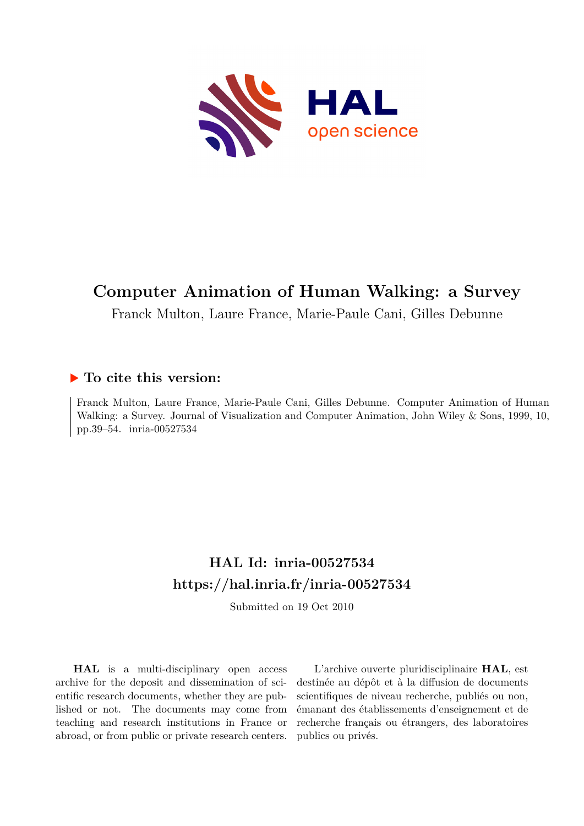

# **Computer Animation of Human Walking: a Survey**

Franck Multon, Laure France, Marie-Paule Cani, Gilles Debunne

## **To cite this version:**

Franck Multon, Laure France, Marie-Paule Cani, Gilles Debunne. Computer Animation of Human Walking: a Survey. Journal of Visualization and Computer Animation, John Wiley & Sons, 1999, 10, pp.39–54. inria-00527534

## **HAL Id: inria-00527534 <https://hal.inria.fr/inria-00527534>**

Submitted on 19 Oct 2010

**HAL** is a multi-disciplinary open access archive for the deposit and dissemination of scientific research documents, whether they are published or not. The documents may come from teaching and research institutions in France or abroad, or from public or private research centers.

L'archive ouverte pluridisciplinaire **HAL**, est destinée au dépôt et à la diffusion de documents scientifiques de niveau recherche, publiés ou non, émanant des établissements d'enseignement et de recherche français ou étrangers, des laboratoires publics ou privés.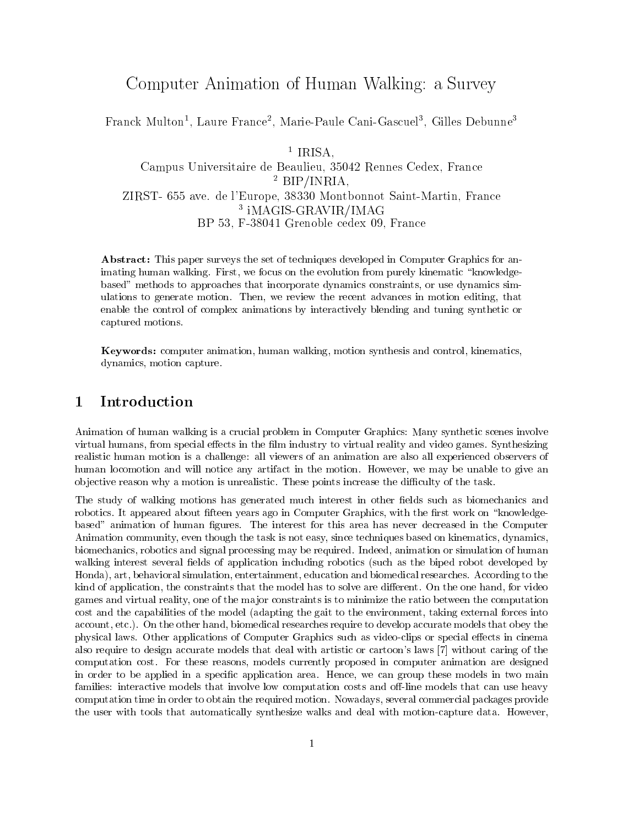## Computer Animation of Human Walking: a Survey

rranck Multon<sup>-</sup>, Laure France-, Marie-Paule Cani-Gascuel<sup>-</sup>, Gilles Debunne<sup>-</sup>

<sup>1</sup> IRISA. IRISA, IRISA, IRISA, IRISA, IRISA, IRISA, IRISA, IRISA, IRISA, IRISA, IRISA, IRISA, IRISA, IRISA, IRISA, IRIS Campus Universitaire de Beaulieu, 35042 Rennes Cedex, France <sup>2</sup> BIP/INRIA, ZIRST- 655 ave. de l'Europe, 38330 Montbonnot Saint-Martin, France <sup>3</sup> iMAGIS-GRAVIR/IMAG BP 53, F-38041 Grenoble cedex 09, France

Abstract: This paper surveys the set of techniques developed in Computer Graphics for animating human walking. First, we focus on the evolution from purely kinematic "knowledgebased" methods to approaches that incorporate dynamics constraints, or use dynamics simulations to generate motion. Then, we review the recent advances in motion editing, that enable the control of complex animations by interactively blending and tuning synthetic or captured motions.

Keywords: computer animation, human walking, motion synthesis and control, kinematics, dynamics, motion capture.

Animation of human walking is a crucial problem in Computer Graphics: Many synthetic scenes involve virtual humans, from special effects in the film industry to virtual reality and video games. Synthesizing realistic human motion is a challenge: all viewers of an animation are also all experienced observers of human locomotion and will notice any artifact in the motion. However, we may be unable to give an objective reason why a motion is unrealistic. These points increase the difficulty of the task.

The study of walking motions has generated much interest in other fields such as biomechanics and robotics. It appeared about fifteen years ago in Computer Graphics, with the first work on "knowledgebased" animation of human gures. The interest for this area has never decreased in the Computer Animation community, even though the task is not easy, since techniques based on kinematics, dynamics, biomechanics, robotics and signal processing may be required. Indeed, animation or simulation of human walking interest several fields of application including robotics (such as the biped robot developed by Honda), art, behavioral simulation, entertainment, education and biomedical researches. According to the kind of application, the constraints that the model has to solve are different. On the one hand, for video games and virtual reality, one of the ma jor constraints is to minimize the ratio between the computation cost and the capabilities of the model (adapting the gait to the environment, taking external forces into account, etc.). On the other hand, biomedical researches require to develop accurate models that obey the physical laws. Other applications of Computer Graphics such as video-clips or special effects in cinema also require to design accurate models that deal with artistic or cartoon's laws [7] without caring of the computation cost. For these reasons, models currently proposed in computer animation are designed in order to be applied in a specic application area. Hence, we can group these models in two main families: interactive models that involve low computation costs and off-line models that can use heavy computation time in order to obtain the required motion. Nowadays, several commercial packages provide the user with tools that automatically synthesize walks and deal with motion-capture data. However,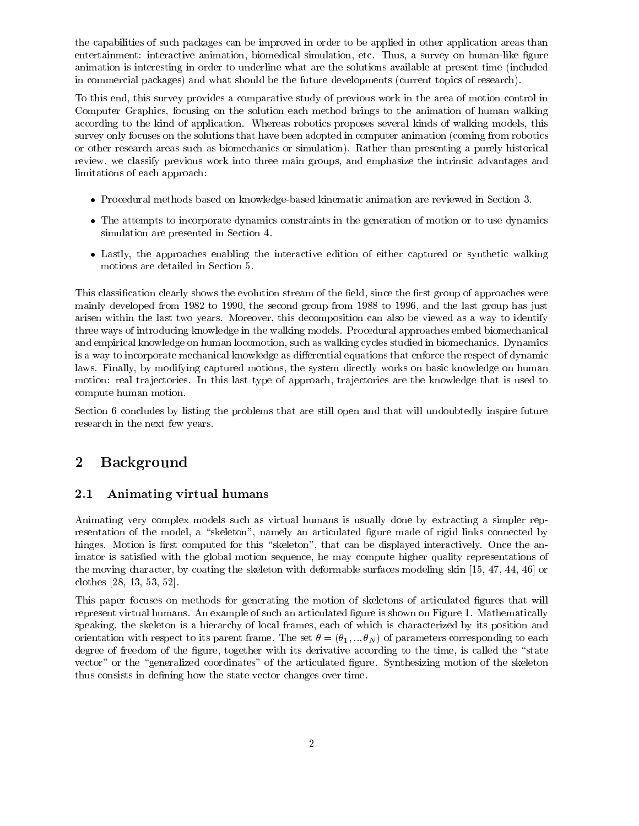the capabilities of such packages can be improved in order to be applied in other application areas than entertainment: interactive animation, biomedical simulation, etc. Thus, a survey on human-like figure animation is interesting in order to underline what are the solutions available at present time (included in commercial packages) and what should be the future developments (current topics of research).

To this end, this survey provides a comparative study of previous work in the area of motion control in Computer Graphics, focusing on the solution each method brings to the animation of human walking according to the kind of application. Whereas robotics proposes several kinds of walking models, this survey only focuses on the solutions that have been adopted in computer animation (coming from robotics or other research areas such as biomechanics or simulation). Rather than presenting a purely historical review, we classify previous work into three main groups, and emphasize the intrinsic advantages and limitations of each approach:

- Procedural methods based on knowledge-based kinematic animation are reviewed in Section 3.
- The attempts to incorporate dynamics constraints in the generation of motion or to use dynamics simulation are presented in Section 4.
- Lastly, the approaches enabling the interactive edition of either captured or synthetic walking motions are detailed in Section 5.

This classification clearly shows the evolution stream of the field, since the first group of approaches were mainly developed from 1982 to 1990, the second group from 1988 to 1996, and the last group has just arisen within the last two years. Moreover, this decomposition can also be viewed as a way to identify three ways of introducing knowledge in the walking models. Procedural approaches embed biomechanical and empirical knowledge on human locomotion, such as walking cycles studied in biomechanics. Dynamics is a way to incorporate mechanical knowledge as differential equations that enforce the respect of dynamic laws. Finally, by modifying captured motions, the system directly works on basic knowledge on human motion: real tra jectories. In this last type of approach, tra jectories are the knowledge that is used to compute human motion.

Section 6 concludes by listing the problems that are still open and that will undoubtedly inspire future research in the next few years.

#### **Background**  $\overline{2}$

### 2.1 Animating virtual humans

Animating very complex models such as virtual humans is usually done by extracting a simpler representation of the model, a "skeleton", namely an articulated figure made of rigid links connected by hinges. Motion is first computed for this "skeleton", that can be displayed interactively. Once the animator is satisfied with the global motion sequence, he may compute higher quality representations of the moving character, by coating the skeleton with deformable surfaces modeling skin [15, 47, 44, 46] or clothes [28, 13, 53, 52].

This paper focuses on methods for generating the motion of skeletons of articulated figures that will represent virtual humans. An example of such an articulated figure is shown on Figure 1. Mathematically speaking, the skeleton is a hierarchy of local frames, each of which is characterized by its position and orientation with respect to its parent frame. The set  $\theta = (\theta_1, ..., \theta_N)$  of parameters corresponding to each degree of freedom of the figure, together with its derivative according to the time, is called the "state vector" or the "generalized coordinates" of the articulated figure. Synthesizing motion of the skeleton thus consists in defining how the state vector changes over time.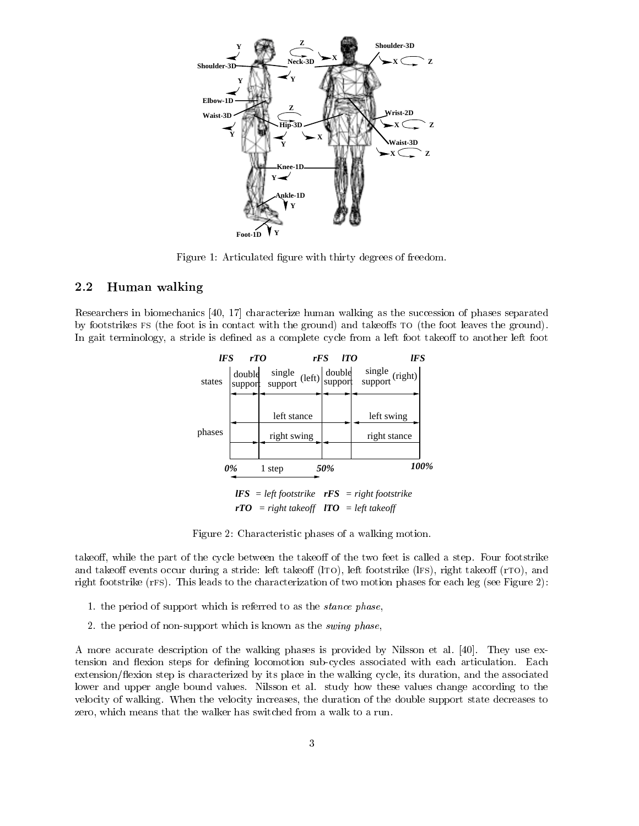

Figure 1: Articulated figure with thirty degrees of freedom.

### 2.2 Human walking

Researchers in biomechanics [40, 17] characterize human walking as the succession of phases separated by footstrikes FS (the foot is in contact with the ground) and takeoffs TO (the foot leaves the ground). In gait terminology, a stride is defined as a complete cycle from a left foot takeoff to another left foot



Figure 2: Characteristic phases of a walking motion.

takeoff, while the part of the cycle between the takeoff of the two feet is called a step. Four footstrike and takeoff events occur during a stride: left takeoff  $(1T0)$ , left footstrike  $(IFs)$ , right takeoff  $(TT0)$ , and right footstrike (rfs). This leads to the characterization of two motion phases for each leg (see Figure 2):

- 1. the period of support which is referred to as the stance phase,
- 2. the period of non-support which is known as the swing phase,

A more accurate description of the walking phases is provided by Nilsson et al. [40]. They use extension and flexion steps for defining locomotion sub-cycles associated with each articulation. Each extension/
exion step is characterized by its place in the walking cycle, its duration, and the associated lower and upper angle bound values. Nilsson et al. study how these values change according to the velocity of walking. When the velocity increases, the duration of the double support state decreases to zero, which means that the walker has switched from a walk to a run.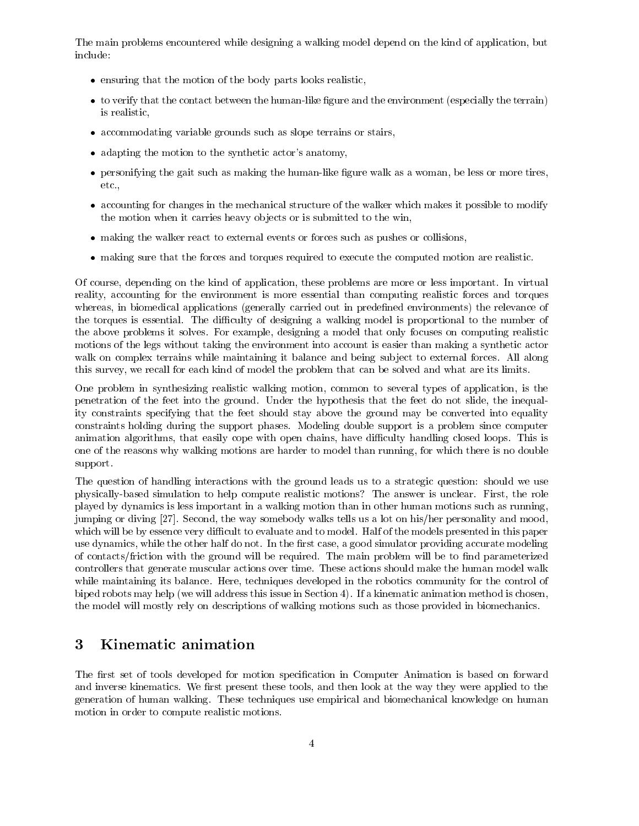The main problems encountered while designing a walking model depend on the kind of application, but include:

- ensuring that the motion of the body parts looks realistic,
- to verify that the contact between the human-like figure and the environment (especially the terrain) is realistic,
- accommodating variable grounds such as slope terrains or stairs,
- adapting the motion to the synthetic actor's anatomy,
- personifying the gait such as making the human-like figure walk as a woman, be less or more tires, etc.,
- accounting for changes in the mechanical structure of the walker which makes it possible to modify the motion when it carries heavy ob jects or is submitted to the win,
- making the walker react to external events or forces such as pushes or collisions,
- making sure that the forces and torques required to execute the computed motion are realistic.

Of course, depending on the kind of application, these problems are more or less important. In virtual reality, accounting for the environment is more essential than computing realistic forces and torques whereas, in biomedical applications (generally carried out in predefined environments) the relevance of the torques is essential. The difficulty of designing a walking model is proportional to the number of the above problems it solves. For example, designing a model that only focuses on computing realistic motions of the legs without taking the environment into account is easier than making a synthetic actor walk on complex terrains while maintaining it balance and being subject to external forces. All along this survey, we recall for each kind of model the problem that can be solved and what are its limits.

One problem in synthesizing realistic walking motion, common to several types of application, is the penetration of the feet into the ground. Under the hypothesis that the feet do not slide, the inequality constraints specifying that the feet should stay above the ground may be converted into equality constraints holding during the support phases. Modeling double support is a problem since computer animation algorithms, that easily cope with open chains, have difficulty handling closed loops. This is one of the reasons why walking motions are harder to model than running, for which there is no double support.

The question of handling interactions with the ground leads us to a strategic question: should we use physically-based simulation to help compute realistic motions? The answer is unclear. First, the role played by dynamics is less important in a walking motion than in other human motions such as running, jumping or diving [27]. Second, the way somebody walks tells us a lot on his/her personality and mood, which will be by essence very difficult to evaluate and to model. Half of the models presented in this paper use dynamics, while the other half do not. In the first case, a good simulator providing accurate modeling of contacts/friction with the ground will be required. The main problem will be to find parameterized controllers that generate muscular actions over time. These actions should make the human model walk while maintaining its balance. Here, techniques developed in the robotics community for the control of biped robots may help (we will address this issue in Section 4). If a kinematic animation method is chosen, the model will mostly rely on descriptions of walking motions such as those provided in biomechanics.

#### 3 Kinematic animation 3

The first set of tools developed for motion specification in Computer Animation is based on forward and inverse kinematics. We first present these tools, and then look at the way they were applied to the generation of human walking. These techniques use empirical and biomechanical knowledge on human motion in order to compute realistic motions.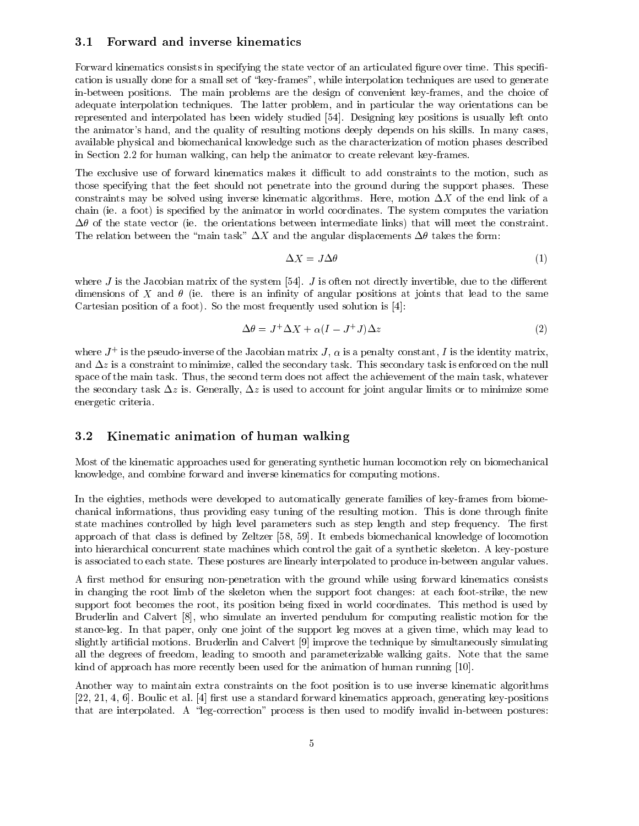#### 3.1 Forward and inverse kinematics

Forward kinematics consists in specifying the state vector of an articulated figure over time. This specification is usually done for a small set of \key-frames", while interpolation techniques are used to generate in-between positions. The main problems are the design of convenient key-frames, and the choice of adequate interpolation techniques. The latter problem, and in particular the way orientations can be represented and interpolated has been widely studied [54]. Designing key positions is usually left onto the animator's hand, and the quality of resulting motions deeply depends on his skills. In many cases, available physical and biomechanical knowledge such as the characterization of motion phases described in Section 2.2 for human walking, can help the animator to create relevant key-frames.

The exclusive use of forward kinematics makes it difficult to add constraints to the motion, such as those specifying that the feet should not penetrate into the ground during the support phases. These constraints may be solved using inverse kinematic algorithms. Here, motion  $\Delta X$  of the end link of a chain (ie. a foot) is specied by the animator in world coordinates. The system computes the variation  $\Delta\theta$  of the state vector (ie. the orientations between intermediate links) that will meet the constraint. The relation between the "main task"  $\Delta X$  and the angular displacements  $\Delta \theta$  takes the form:

$$
\Delta X = J \Delta \theta \tag{1}
$$

where  $J$  is the Jacobian matrix of the system [54].  $J$  is often not directly invertible, due to the different dimensions of X and  $\theta$  (ie. there is an infinity of angular positions at joints that lead to the same Cartesian position of a foot). So the most frequently used solution is [4]:

$$
\Delta \theta = J^+ \Delta X + \alpha (I - J^+ J) \Delta z \tag{2}
$$

where  $J_{+}$  is the pseudo-inverse of the Jacobian matrix  $J, \alpha$  is a penalty constant, I is the identity matrix, and  $\Delta z$  is a constraint to minimize, called the secondary task. This secondary task is enforced on the null space of the main task. Thus, the second term does not affect the achievement of the main task, whatever the secondary task  $\Delta z$  is. Generally,  $\Delta z$  is used to account for joint angular limits or to minimize some energetic criteria.

### 3.2 Kinematic animation of human walking

Most of the kinematic approaches used for generating synthetic human locomotion rely on biomechanical knowledge, and combine forward and inverse kinematics for computing motions.

In the eighties, methods were developed to automatically generate families of key-frames from biomechanical informations, thus providing easy tuning of the resulting motion. This is done through finite state machines controlled by high level parameters such as step length and step frequency. The first approach of that class is dened by Zeltzer [58, 59]. It embeds biomechanical knowledge of locomotion into hierarchical concurrent state machines which control the gait of a synthetic skeleton. A key-posture is associated to each state. These postures are linearly interpolated to produce in-between angular values.

A first method for ensuring non-penetration with the ground while using forward kinematics consists in changing the root limb of the skeleton when the support foot changes: at each foot-strike, the new support foot becomes the root, its position being fixed in world coordinates. This method is used by Bruderlin and Calvert [8], who simulate an inverted pendulum for computing realistic motion for the stance-leg. In that paper, only one joint of the support leg moves at a given time, which may lead to slightly articial motions. Bruderlin and Calvert [9] improve the technique by simultaneously simulating all the degrees of freedom, leading to smooth and parameterizable walking gaits. Note that the same kind of approach has more recently been used for the animation of human running [10].

Another way to maintain extra constraints on the foot position isto use inverse kinematic algorithms [22, 21, 4, 6]. Boulic et al. [4] first use a standard forward kinematics approach, generating key-positions that are interpolated. A "leg-correction" process is then used to modify invalid in-between postures: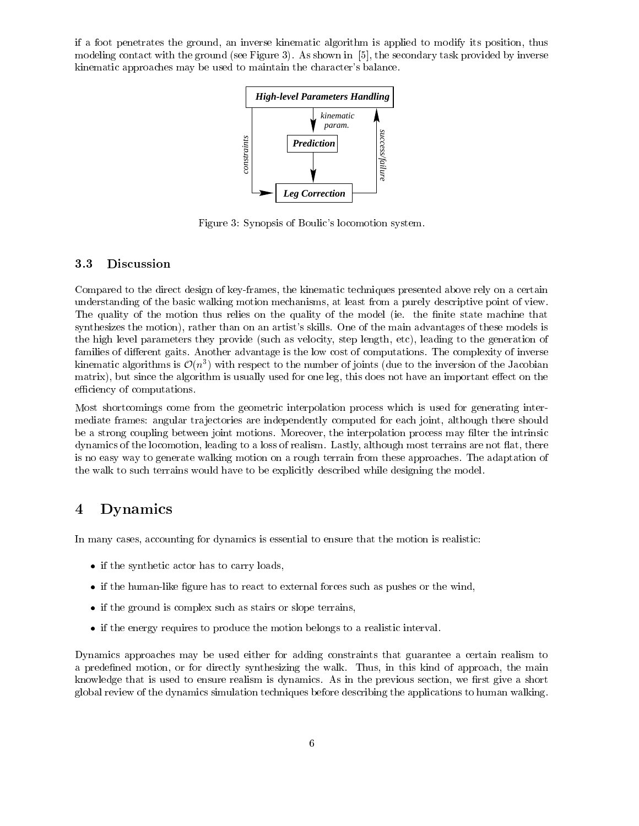if a foot penetrates the ground, an inverse kinematic algorithm is applied to modify its position, thus modeling contact with the ground (see Figure 3). As shown in [5], the secondary task provided by inverse kinematic approaches may be used to maintain the character's balance.



Figure 3: Synopsis of Boulic's locomotion system.

### 3.3 Discussion

Compared to the direct design of key-frames, the kinematic techniques presented above rely on a certain understanding of the basic walking motion mechanisms, at least from a purely descriptive point of view. The quality of the motion thus relies on the quality of the model (ie. the finite state machine that synthesizes the motion), rather than on an artist's skills. One of the main advantages of these models is the high level parameters they provide (such as velocity, step length, etc), leading to the generation of families of different gaits. Another advantage is the low cost of computations. The complexity of inverse kinematic algorithms is  $\mathcal{O}(n^*)$  with respect to the number of joints (due to the inversion of the Jacobian matrix), but since the algorithm is usually used for one leg, this does not have an important effect on the efficiency of computations.

Most shortcomings come from the geometric interpolation process which is used for generating intermediate frames: angular trajectories are independently computed for each joint, although there should be a strong coupling between joint motions. Moreover, the interpolation process may lter the intrinsic dynamics of the locomotion, leading to a loss of realism. Lastly, although most terrains are not flat, there is no easy way to generate walking motion on a rough terrain from these approaches. The adaptation of the walk to such terrains would have to be explicitly described while designing the model.

#### $\bf{4}$ **Dynamics**

In many cases, accounting for dynamics is essential to ensure that the motion is realistic:

- if the synthetic actor has to carry loads,
- $\bullet$  if the human-like figure has to react to external forces such as pushes or the wind,
- if the ground is complex such as stairs or slope terrains,
- if the energy requires to produce the motion belongs to a realistic interval.

Dynamics approaches may be used either for adding constraints that guarantee a certain realism to a predefined motion, or for directly synthesizing the walk. Thus, in this kind of approach, the main knowledge that is used to ensure realism is dynamics. As in the previous section, we first give a short global review of the dynamics simulation techniques before describing the applications to human walking.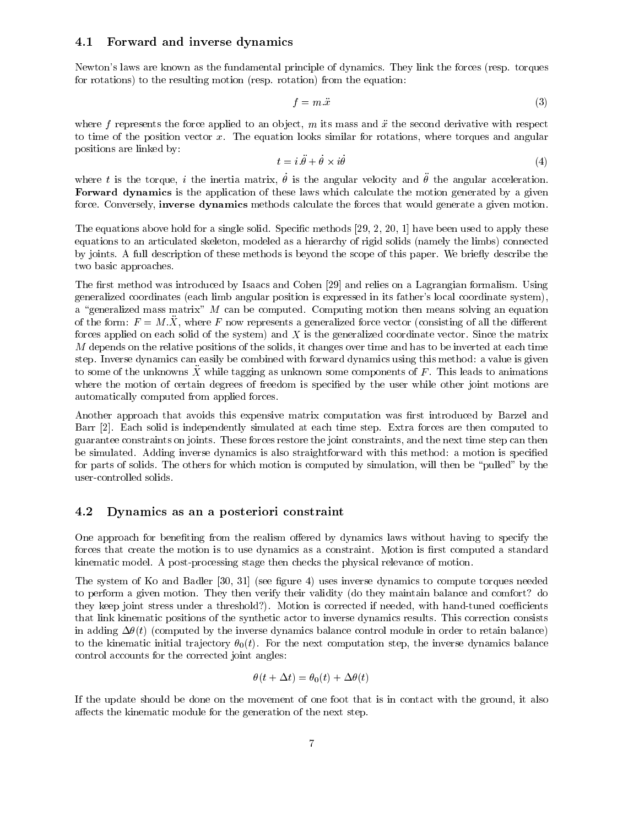#### 4.1 Forward and inverse dynamics

Newton's laws are known as the fundamental principle of dynamics. They link the forces (resp. torques for rotations) to the resulting motion (resp. rotation) from the equation:

$$
f = m.\ddot{x} \tag{3}
$$

where  $f$  represents the force applied to an object,  $m$  its mass and  $\ddot{x}$  the second derivative with respect to time of the position vector  $x$ . The equation looks similar for rotations, where torques and angular positions are linked by:

$$
t = i.\ddot{\theta} + \dot{\theta} \times i\dot{\theta} \tag{4}
$$

where  $t$  is the torque,  $t$  the inertia matrix,  $v$  is the angular velocity and  $v$  the angular acceleration. Forward dynamics is the application of these laws which calculate the motion generated by a given force. Conversely, inverse dynamics methods calculate the forces that would generate a given motion.

The equations above hold for a single solid. Specific methods  $[29, 2, 20, 1]$  have been used to apply these equations to an articulated skeleton, modeled as a hierarchy of rigid solids (namely the limbs) connected by joints. A full description of these methods is beyond the scope of this paper. We briefly describe the two basic approaches.

The first method was introduced by Isaacs and Cohen [29] and relies on a Lagrangian formalism. Using generalized coordinates (each limb angular position is expressed in its father's local coordinate system), a "generalized mass matrix"  $M$  can be computed. Computing motion then means solving an equation of the form:  $F = M.\ddot{X}$ , where F now represents a generalized force vector (consisting of all the different forces applied on each solid of the system) and  $X$  is the generalized coordinate vector. Since the matrix M depends on the relative positions of the solids, it changes over time and has to be inverted at each time step. Inverse dynamics can easily be combined with forward dynamics using this method: a value is given to some of the unknowns  $\ddot{X}$  while tagging as unknown some components of F. This leads to animations where the motion of certain degrees of freedom is specified by the user while other joint motions are automatically computed from applied forces.

Another approach that avoids this expensive matrix computation was first introduced by Barzel and Barr [2]. Each solid is independently simulated at each time step. Extra forces are then computed to guarantee constraints on joints. These forces restore the joint constraints, and the next time step can then be simulated. Adding inverse dynamics is also straightforward with this method: a motion is specied for parts of solids. The others for which motion is computed by simulation, will then be \pulled" by the user-controlled solids.

#### 4.2 Dynamics as an a posteriori constraint

One approach for benefiting from the realism offered by dynamics laws without having to specify the forces that create the motion is to use dynamics as a constraint. Motion is first computed a standard kinematic model. A post-processing stage then checks the physical relevance of motion.

The system of Ko and Badler [30, 31] (see figure 4) uses inverse dynamics to compute torques needed to perform a given motion. They then verify their validity (do they maintain balance and comfort? do they keep joint stress under a threshold?). Motion is corrected if needed, with hand-tuned coefficients that link kinematic positions of the synthetic actor to inverse dynamics results. This correction consists in adding  $\Delta\theta(t)$  (computed by the inverse dynamics balance control module in order to retain balance) to the kinematic initial trajectory  $\theta_0(t)$ . For the next computation step, the inverse dynamics balance control accounts for the corrected joint angles:

$$
\theta(t + \Delta t) = \theta_0(t) + \Delta \theta(t)
$$

If the update should be done on the movement of one foot that is in contact with the ground, it also affects the kinematic module for the generation of the next step.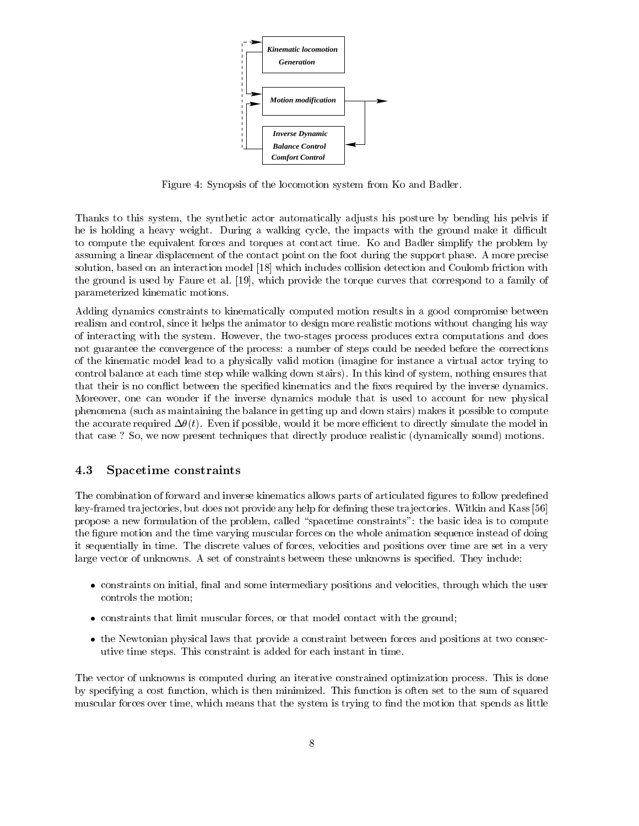

Figure 4: Synopsis of the locomotion system from Ko and Badler.

Thanks to this system, the synthetic actor automatically adjusts his posture by bending his pelvis if he is holding a heavy weight. During a walking cycle, the impacts with the ground make it difficult to compute the equivalent forces and torques at contact time. Ko and Badler simplify the problem by assuming a linear displacement of the contact point on the foot during the support phase. A more precise solution, based on an interaction model [18] which includes collision detection and Coulomb friction with the ground is used by Faure et al. [19], which provide the torque curves that correspond to a family of parameterized kinematic motions.

Adding dynamics constraints to kinematically computed motion results in a good compromise between realism and control, since it helps the animator to design more realistic motions without changing his way of interacting with the system. However, the two-stages process produces extra computations and does not guarantee the convergence of the process: a number of steps could be needed before the corrections of the kinematic model lead to a physically valid motion (imagine for instance a virtual actor trying to control balance at each time step while walking down stairs). In this kind of system, nothing ensures that that their is no conflict between the specified kinematics and the fixes required by the inverse dynamics. Moreover, one can wonder if the inverse dynamics module that is used to account for new physical phenomena (such as maintaining the balance in getting up and down stairs) makes it possible to compute the accurate required  $\Delta\theta(t)$ . Even if possible, would it be more efficient to directly simulate the model in that case ? So, we now present techniques that directly produce realistic (dynamically sound) motions.

#### 4.3 Spacetime constraints

The combination of forward and inverse kinematics allows parts of articulated figures to follow predefined key-framed trajectories, but does not provide any help for defining these trajectories. Witkin and Kass [56] propose a new formulation of the problem, called "spacetime constraints": the basic idea is to compute the figure motion and the time varying muscular forces on the whole animation sequence instead of doing it sequentially in time. The discrete values of forces, velocities and positions over time are set in a very large vector of unknowns. A set of constraints between these unknowns is specified. They include:

- constraints on initial, final and some intermediary positions and velocities, through which the user controls the motion;
- constraints that limit muscular forces, or that model contact with the ground;
- the Newtonian physical laws that provide a constraint between forces and positions at two consecutive time steps. This constraint is added for each instant in time.

The vector of unknowns is computed during an iterative constrained optimization process. This is done by specifying a cost function, which is then minimized. This function is often set to the sum of squared muscular forces over time, which means that the system is trying to find the motion that spends as little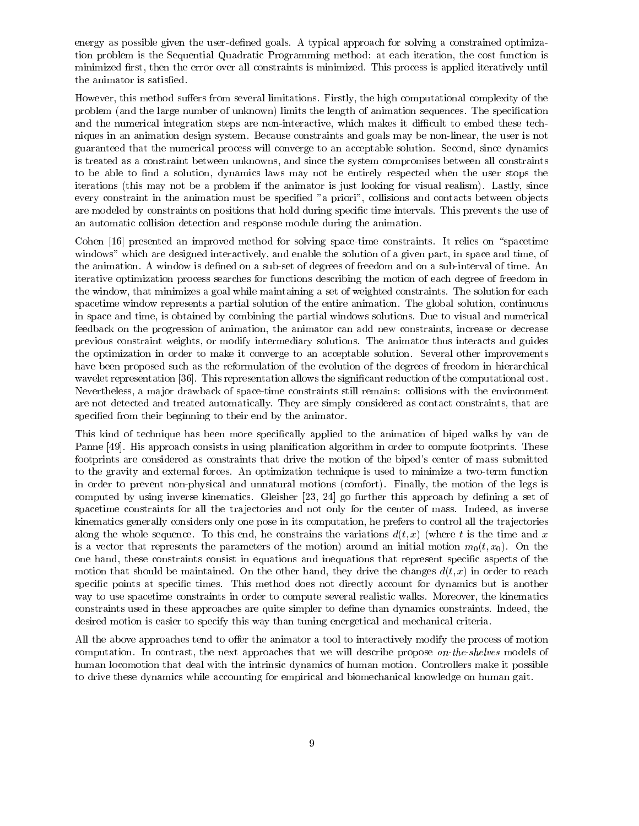energy as possible given the user-defined goals. A typical approach for solving a constrained optimization problem is the Sequential Quadratic Programming method: at each iteration, the cost function is minimized first, then the error over all constraints is minimized. This process is applied iteratively until the animator is satisfied.

However, this method suffers from several limitations. Firstly, the high computational complexity of the problem (and the large number of unknown) limits the length of animation sequences. The specification and the numerical integration steps are non-interactive, which makes it difficult to embed these techniques in an animation design system. Because constraints and goals may be non-linear, the user is not guaranteed that the numerical process will converge to an acceptable solution. Second, since dynamics is treated as a constraint between unknowns, and since the system compromises between all constraints to be able to find a solution, dynamics laws may not be entirely respected when the user stops the iterations (this may not be a problem if the animator is just looking for visual realism). Lastly, since every constraint in the animation must be specified "a priori", collisions and contacts between objects are modeled by constraints on positions that hold during specic time intervals. This prevents the use of an automatic collision detection and response module during the animation.

Cohen [16] presented an improved method for solving space-time constraints. It relies on "spacetime windows" which are designed interactively, and enable the solution of a given part, in space and time, of the animation. A window is defined on a sub-set of degrees of freedom and on a sub-interval of time. An iterative optimization process searches for functions describing the motion of each degree of freedom in the window, that minimizes a goal while maintaining a set of weighted constraints. The solution for each spacetime window represents a partial solution of the entire animation. The global solution, continuous in space and time, is obtained by combining the partial windows solutions. Due to visual and numerical feedback on the progression of animation, the animator can add new constraints, increase or decrease previous constraint weights, or modify intermediary solutions. The animator thus interacts and guides the optimization in order to make it converge to an acceptable solution. Several other improvements have been proposed such as the reformulation of the evolution of the degrees of freedom in hierarchical wavelet representation [36]. This representation allows the significant reduction of the computational cost. Nevertheless, a ma jor drawback of space-time constraints still remains: collisions with the environment are not detected and treated automatically. They are simply considered as contact constraints, that are specified from their beginning to their end by the animator.

This kind of technique has been more specically applied to the animation of biped walks by van de Panne [49]. His approach consists in using planification algorithm in order to compute footprints. These footprints are considered as constraints that drive the motion of the biped's center of mass submitted to the gravity and external forces. An optimization technique is used to minimize a two-term function in order to prevent non-physical and unnatural motions (comfort). Finally, the motion of the legs is computed by using inverse kinematics. Gleisher  $[23, 24]$  go further this approach by defining a set of spacetime constraints for all the trajectories and not only for the center of mass. Indeed, as inverse kinematics generally considers only one pose in its computation, he prefers to control all the trajectories along the whole sequence. To this end, he constrains the variations  $d(t, x)$  (where t is the time and x is a vector that represents the parameters of the motion) around an initial motion  $m_0(t, x_0)$ . On the one hand, these constraints consist in equations and inequations that represent specic aspects of the motion that should be maintained. On the other hand, they drive the changes  $d(t, x)$  in order to reach specific points at specific times. This method does not directly account for dynamics but is another way to use spacetime constraints in order to compute several realistic walks. Moreover, the kinematics constraints used in these approaches are quite simpler to define than dynamics constraints. Indeed, the desired motion is easier to specify this way than tuning energetical and mechanical criteria.

All the above approaches tend to offer the animator a tool to interactively modify the process of motion computation. In contrast, the next approaches that we will describe propose on-the-shelves models of human locomotion that deal with the intrinsic dynamics of human motion. Controllers make it possible to drive these dynamics while accounting for empirical and biomechanical knowledge on human gait.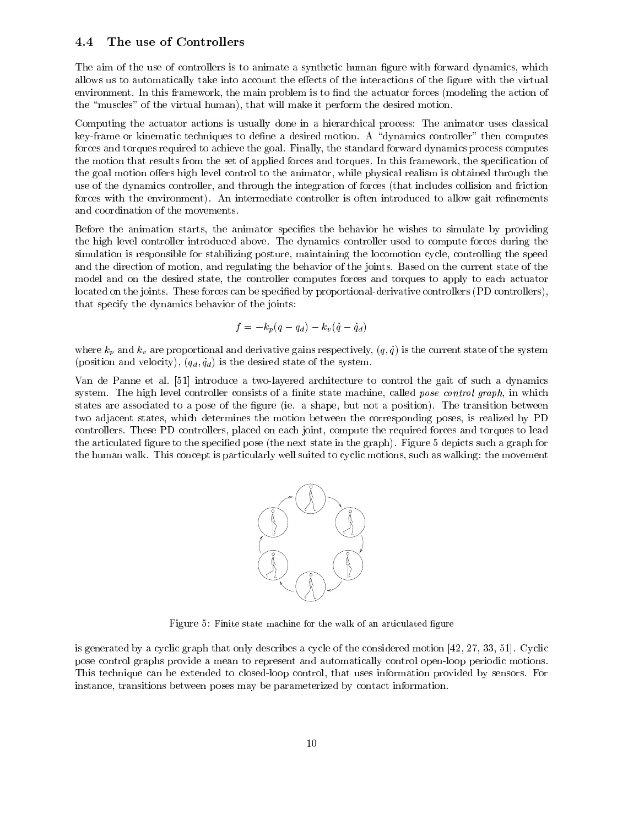#### 4.4 The use of Controllers

The aim of the use of controllers is to animate a synthetic human figure with forward dynamics, which allows us to automatically take into account the effects of the interactions of the figure with the virtual environment. In this framework, the main problem is to find the actuator forces (modeling the action of the \muscles" of the virtual human), that will make it perform the desired motion.

Computing the actuator actions is usually done in a hierarchical process: The animator uses classical key-frame or kinematic techniques to define a desired motion. A "dynamics controller" then computes forces and torques required to achieve the goal. Finally, the standard forward dynamics process computes the motion that results from the set of applied forces and torques. In this framework, the specification of the goal motion offers high level control to the animator, while physical realism is obtained through the use of the dynamics controller, and through the integration of forces (that includes collision and friction forces with the environment). An intermediate controller is often introduced to allow gait refinements and coordination of the movements.

Before the animation starts, the animator specifies the behavior he wishes to simulate by providing the high level controller introduced above. The dynamics controller used to compute forces during the simulation is responsible for stabilizing posture, maintaining the locomotion cycle, controlling the speed and the direction of motion, and regulating the behavior of the joints. Based on the current state of the model and on the desired state, the controller computes forces and torques to apply to each actuator located on the joints. These forces can be specified by proportional-derivative controllers (PD controllers), that specify the dynamics behavior of the joints:

$$
f=-k_p(q-q_d)-k_v(\dot{q}-\dot{q}_d)
$$

where  $k_p$  and  $k_v$  are proportional and derivative gains respectively,  $(q, \dot{q})$  is the current state of the system (position and velocity),  $(q_d, \dot{q}_d)$  is the desired state of the system.

Van de Panne et al. [51] introduce a two-layered architecture to control the gait of such a dynamics system. The high level controller consists of a finite state machine, called *pose control graph*, in which states are associated to a pose of the figure (ie. a shape, but not a position). The transition between two adjacent states, which determines the motion between the corresponding poses, is realized by PD controllers. These PD controllers, placed on each joint, compute the required forces and torques to lead the articulated figure to the specified pose (the next state in the graph). Figure 5 depicts such a graph for the human walk. This concept is particularly well suited to cyclic motions, such as walking: the movement



Figure 5: Finite state machine for the walk of an articulated figure

is generated by a cyclic graph that only describes a cycle of the considered motion [42, 27, 33, 51]. Cyclic pose control graphs provide a mean to represent and automatically control open-loop periodic motions. This technique can be extended to closed-loop control, that uses information provided by sensors. For instance, transitions between poses may be parameterized by contact information.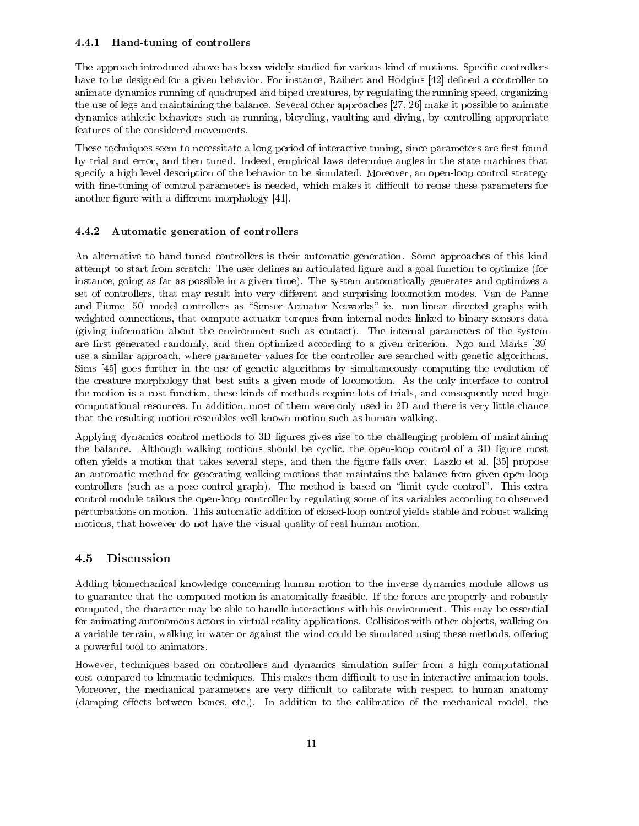#### 4.4.1 Hand-tuning of controllers

The approach introduced above has been widely studied for various kind of motions. Specific controllers have to be designed for a given behavior. For instance, Raibert and Hodgins [42] defined a controller to animate dynamics running of quadruped and biped creatures, by regulating the running speed, organizing the use of legs and maintaining the balance. Several other approaches [27, 26] make it possible to animate dynamics athletic behaviors such as running, bicycling, vaulting and diving, by controlling appropriate features of the considered movements.

These techniques seem to necessitate a long period of interactive tuning, since parameters are first found by trial and error, and then tuned. Indeed, empirical laws determine angles in the state machines that specify a high level description of the behavior to be simulated. Moreover, an open-loop control strategy with fine-tuning of control parameters is needed, which makes it difficult to reuse these parameters for another figure with a different morphology [41].

#### 4.4.2 Automatic generation of controllers

An alternative to hand-tuned controllers is their automatic generation. Some approaches of this kind attempt to start from scratch: The user defines an articulated figure and a goal function to optimize (for instance, going as far as possible in a given time). The system automatically generates and optimizes a set of controllers, that may result into very different and surprising locomotion modes. Van de Panne and Fiume [50] model controllers as "Sensor-Actuator Networks" ie. non-linear directed graphs with weighted connections, that compute actuator torques from internal nodes linked to binary sensors data (giving information about the environment such as contact). The internal parameters of the system are first generated randomly, and then optimized according to a given criterion. Ngo and Marks [39] use a similar approach, where parameter values for the controller are searched with genetic algorithms. Sims [45] goes further in the use of genetic algorithms by simultaneously computing the evolution of the creature morphology that best suits a given mode of locomotion. As the only interface to control the motion is a cost function, these kinds of methods require lots of trials, and consequently need huge computational resources. In addition, most of them were only used in 2D and there is very little chance that the resulting motion resembles well-known motion such as human walking.

Applying dynamics control methods to 3D figures gives rise to the challenging problem of maintaining the balance. Although walking motions should be cyclic, the open-loop control of a 3D figure most often yields a motion that takes several steps, and then the gure falls over. Laszlo et al. [35] propose an automatic method for generating walking motions that maintains the balance from given open-loop controllers (such as a pose-control graph). The method is based on "limit cycle control". This extra control module tailors the open-loop controller by regulating some of its variables according to observed perturbations on motion. This automatic addition of closed-loop control yields stable and robust walking motions, that however do not have the visual quality of real human motion.

#### 4.5 Discussion

Adding biomechanical knowledge concerning human motion to the inverse dynamics module allows us to guarantee that the computed motion is anatomically feasible. If the forces are properly and robustly computed, the character may be able to handle interactions with his environment. This may be essential for animating autonomous actors in virtual reality applications. Collisions with other ob jects, walking on a variable terrain, walking in water or against the wind could be simulated using these methods, offering a powerful tool to animators.

However, techniques based on controllers and dynamics simulation suffer from a high computational cost compared to kinematic techniques. This makes them difficult to use in interactive animation tools. Moreover, the mechanical parameters are very difficult to calibrate with respect to human anatomy (damping effects between bones, etc.). In addition to the calibration of the mechanical model, the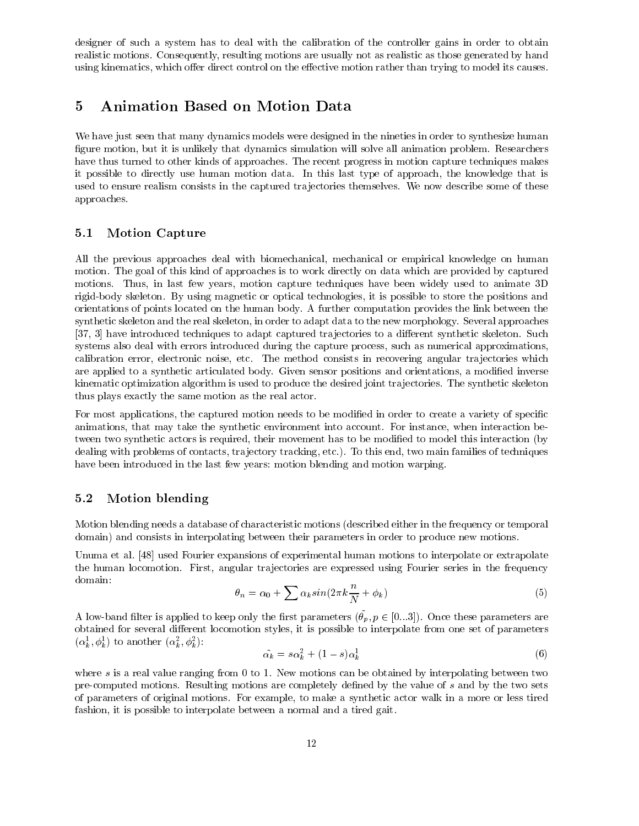designer of such a system has to deal with the calibration of the controller gains in order to obtain realistic motions. Consequently, resulting motions are usually not as realistic as those generated by hand using kinematics, which offer direct control on the effective motion rather than trying to model its causes.

#### 5 Animation Based on Motion Data  $\overline{5}$

We have just seen that many dynamics models were designed in the nineties in order to synthesize human figure motion, but it is unlikely that dynamics simulation will solve all animation problem. Researchers have thus turned to other kinds of approaches. The recent progress in motion capture techniques makes it possible to directly use human motion data. In this last type of approach, the knowledge that is used to ensure realism consists in the captured tra jectories themselves. We now describe some of these approaches.

#### 5.1 Motion Capture

All the previous approaches deal with biomechanical, mechanical or empirical knowledge on human motion. The goal of this kind of approaches is to work directly on data which are provided by captured motions. Thus, in last few years, motion capture techniques have been widely used to animate 3D rigid-body skeleton. By using magnetic or optical technologies, it is possible to store the positions and orientations of points located on the human body. A further computation provides the link between the synthetic skeleton and the real skeleton, in order to adapt data to the new morphology. Several approaches [37, 3] have introduced techniques to adapt captured trajectories to a different synthetic skeleton. Such systems also deal with errors introduced during the capture process, such as numerical approximations, calibration error, electronic noise, etc. The method consists in recovering angular trajectories which are applied to a synthetic articulated body. Given sensor positions and orientations, a modied inverse kinematic optimization algorithm is used to produce the desired joint trajectories. The synthetic skeleton thus plays exactly the same motion as the real actor.

For most applications, the captured motion needs to be modified in order to create a variety of specific animations, that may take the synthetic environment into account. For instance, when interaction between two synthetic actors is required, their movement has to be modified to model this interaction (by dealing with problems of contacts, tra jectory tracking, etc.). To this end, two main families of techniques have been introduced in the last few years: motion blending and motion warping.

### 5.2 Motion blending

Motion blending needs a database of characteristic motions (described either in the frequency or temporal domain) and consists in interpolating between their parameters in order to produce new motions.

Unuma et al. [48] used Fourier expansions of experimental human motions to interpolate or extrapolate the human locomotion. First, angular trajectories are expressed using Fourier series in the frequency domain:

$$
\theta_n = \alpha_0 + \sum \alpha_k \sin(2\pi k \frac{n}{N} + \phi_k) \tag{5}
$$

A low-band lifter is applied to keep only the hist parameters  $(v_p, p \in [0...9])$ . Once these parameters are obtained for several different locomotion styles, it is possible to interpolate from one set of parameters  $(\alpha_{\bar{k}}^*, \varphi_{\bar{k}}^*)$  to another  $(\alpha_{\bar{k}}^*, \varphi_{\bar{k}}^*)$ .

$$
\tilde{\alpha_k} = s\alpha_k^2 + (1-s)\alpha_k^1 \tag{6}
$$

where s is a real value ranging from 0 to 1. New motions can be obtained by interpolating between two pre-computed motions. Resulting motions are completely defined by the value of s and by the two sets of parameters of original motions. For example, to make a synthetic actor walk in a more or less tired fashion, it is possible to interpolate between a normal and a tired gait.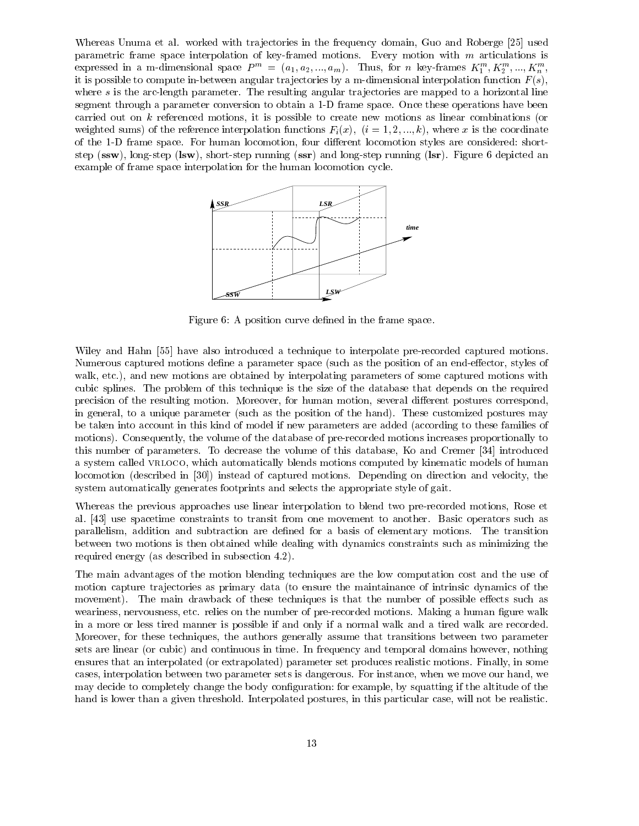Whereas Unuma et al. worked with trajectories in the frequency domain, Guo and Roberge [25] used parametric frame space interpolation of key-framed motions. Every motion with <sup>m</sup> articulations is expressed in a m-dimensional space  $P^m = (a_1, a_2, ..., a_m)$ . Thus, for n key-frames  $K_1^m, K_2^m, ..., K_m^m$ , it is possible to compute in-between angular trajectories by a m-dimensional interpolation function  $F(s)$ , where  $s$  is the arc-length parameter. The resulting angular trajectories are mapped to a horizontal line segment through a parameter conversion to obtain a 1-D frame space. Once these operations have been carried out on  $k$  referenced motions, it is possible to create new motions as linear combinations (or weighted sums) of the reference interpolation functions  $F_i(x)$ ;  $(i = 1, 2, ..., k)$ , where x is the coordinate of the 1-D frame space. For human locomotion, four different locomotion styles are considered: shortstep (ssw), long-step (lsw), short-step running (ssr) and long-step running (lsr). Figure 6 depicted an example of frame space interpolation for the human locomotion cycle.



Figure 6: A position curve defined in the frame space.

Wiley and Hahn [55] have also introduced a technique to interpolate pre-recorded captured motions. Numerous captured motions define a parameter space (such as the position of an end-effector, styles of walk, etc.), and new motions are obtained by interpolating parameters of some captured motions with cubic splines. The problem of this technique is the size of the database that depends on the required precision of the resulting motion. Moreover, for human motion, several different postures correspond, in general, to a unique parameter (such as the position of the hand). These customized postures may be taken into account in this kind of model if new parameters are added (according to these families of motions). Consequently, the volume of the database of pre-recorded motions increases proportionally to this number of parameters. To decrease the volume of this database, Ko and Cremer [34] introduced a system called VRLOCO, which automatically blends motions computed by kinematic models of human locomotion (described in [30]) instead of captured motions. Depending on direction and velocity, the system automatically generates footprints and selects the appropriate style of gait.

Whereas the previous approaches use linear interpolation to blend two pre-recorded motions, Rose et al. [43] use spacetime constraints to transit from one movement to another. Basic operators such as parallelism, addition and subtraction are defined for a basis of elementary motions. The transition between two motions is then obtained while dealing with dynamics constraints such as minimizing the required energy (as described in subsection 4.2).

The main advantages of the motion blending techniques are the low computation cost and the use of motion capture tra jectories as primary data (to ensure the maintainance of intrinsic dynamics of the movement). The main drawback of these techniques is that the number of possible effects such as weariness, nervousness, etc. relies on the number of pre-recorded motions. Making a human figure walk in a more or less tired manner is possible if and only if a normal walk and a tired walk are recorded. Moreover, for these techniques, the authors generally assume that transitions between two parameter sets are linear (or cubic) and continuous in time. In frequency and temporal domains however, nothing ensures that an interpolated (or extrapolated) parameter set produces realistic motions. Finally, in some cases, interpolation between two parameter sets is dangerous. For instance, when we move our hand, we may decide to completely change the body conguration: for example, by squatting if the altitude of the hand is lower than a given threshold. Interpolated postures, in this particular case, will not be realistic.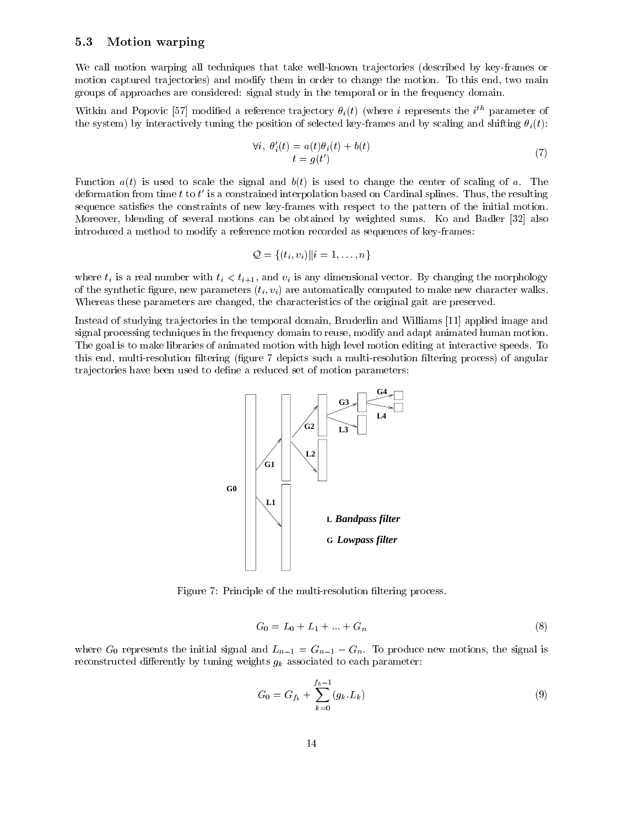#### 5.3 Motion warping

We call motion warping all techniques that take well-known trajectories (described by key-frames or motion captured trajectories) and modify them in order to change the motion. To this end, two main groups of approaches are considered: signal study in the temporal or in the frequency domain.

Witkin and Popovic  $[37]$  modified a reference trajectory  $\sigma_i(t)$  (where  $i$  represents the  $i^{...}$  parameter of the system) by interactively tuning the position of selected key-frames and by scaling and shifting  $\theta_i(t)$ :

$$
\forall i, \ \theta_i'(t) = a(t)\theta_i(t) + b(t) \n t = g(t') \tag{7}
$$

Function  $a(t)$  is used to scale the signal and  $b(t)$  is used to change the center of scaling of a. The deformation from time  $t$  to  $t$  is a constrained interpolation based on Cardinal splines. Thus, the resulting sequence satisfies the constraints of new key-frames with respect to the pattern of the initial motion. Moreover, blending of several motions can be obtained by weighted sums. Ko and Badler [32] also introduced a method to modify a reference motion recorded as sequences of key-frames:

$$
\mathcal{Q} = \{(t_i, v_i) \mid i = 1, \ldots, n\}
$$

where  $t_i$  is a real number with  $t_i < t_{i+1}$ , and  $v_i$  is any dimensional vector. By changing the morphology of the synthetic figure, new parameters  $(t_i, v_i)$  are automatically computed to make new character walks. Whereas these parameters are changed, the characteristics of the original gait are preserved.

Instead of studying tra jectories in the temporal domain, Bruderlin and Williams [11] applied image and signal processing techniques in the frequency domain to reuse, modify and adapt animated human motion. The goal is to make libraries of animated motion with high level motion editing at interactive speeds. To this end, multi-resolution filtering (figure 7 depicts such a multi-resolution filtering process) of angular trajectories have been used to define a reduced set of motion parameters:



Figure 7: Principle of the multi-resolution filtering process.

$$
G_0 = L_0 + L_1 + \dots + G_n \tag{8}
$$

where  $G_0$  represents the initial signal and  $L_{n-1} = G_{n-1} - G_n$ . To produce new motions, the signal is reconstructed differently by tuning weights  $g_k$  associated to each parameter:

$$
G_0 = G_{f_b} + \sum_{k=0}^{f_b - 1} (g_k, L_k)
$$
\n(9)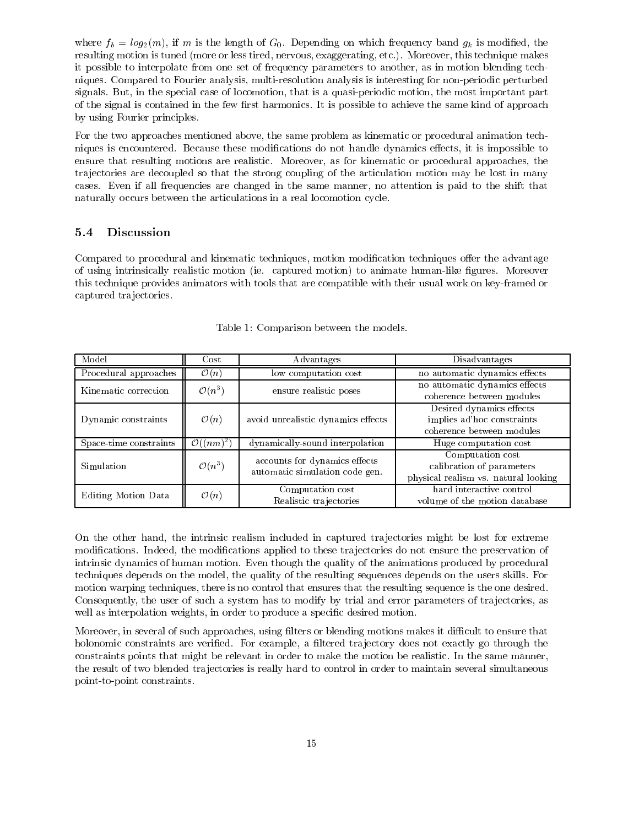where  $f_b = log_2(m)$ , if m is the length of  $G_0$ . Depending on which frequency band  $g_k$  is modified, the resulting motion is tuned (more or less tired, nervous, exaggerating, etc.). Moreover, this technique makes it possible to interpolate from one set of frequency parameters to another, as in motion blending techniques. Compared to Fourier analysis, multi-resolution analysis is interesting for non-periodic perturbed signals. But, in the special case of locomotion, that is a quasi-periodic motion, the most important part of the signal is contained in the few first harmonics. It is possible to achieve the same kind of approach by using Fourier principles.

For the two approaches mentioned above, the same problem as kinematic or procedural animation techniques is encountered. Because these modifications do not handle dynamics effects, it is impossible to ensure that resulting motions are realistic. Moreover, as for kinematic or procedural approaches, the tra jectories are decoupled so that the strong coupling of the articulation motion may be lost in many cases. Even if all frequencies are changed in the same manner, no attention is paid to the shift that naturally occurs between the articulations in a real locomotion cycle.

#### $5.4$ **Discussion**

Compared to procedural and kinematic techniques, motion modification techniques offer the advantage of using intrinsically realistic motion (ie. captured motion) to animate human-like gures. Moreover this technique provides animators with tools that are compatible with their usual work on key-framed or captured trajectories.

| Model                  | $\rm Cost$            | Advantages                                                      | Disadvantages                                                                         |  |
|------------------------|-----------------------|-----------------------------------------------------------------|---------------------------------------------------------------------------------------|--|
| Procedural approaches  | $\mathcal{O}(n)$      | low computation cost                                            | no automatic dynamics effects                                                         |  |
| Kinematic correction   | $\mathcal{O}(n^3)$    | ensure realistic poses                                          | no automatic dynamics effects<br>coherence between modules                            |  |
| Dynamic constraints    | $\mathcal{O}(n)$      | avoid unrealistic dynamics effects                              | Desired dynamics effects<br>implies ad'hoc constraints<br>coherence between modules   |  |
| Space-time constraints | $\mathcal{O}((nm)^2)$ | dynamically-sound interpolation                                 | Huge computation cost                                                                 |  |
| Simulation             | $\mathcal{O}(n^3)$    | accounts for dynamics effects<br>automatic simulation code gen. | Computation cost<br>calibration of parameters<br>physical realism vs. natural looking |  |
| Editing Motion Data    | $\mathcal{O}(n)$      | Computation cost<br>Realistic trajectories                      | hard interactive control<br>volume of the motion database                             |  |

|  | Table 1: Comparison between the models. |  |  |
|--|-----------------------------------------|--|--|
|  |                                         |  |  |

On the other hand, the intrinsic realism included in captured tra jectories might be lost for extreme modifications. Indeed, the modifications applied to these trajectories do not ensure the preservation of intrinsic dynamics of human motion. Even though the quality of the animations produced by procedural techniques depends on the model, the quality of the resulting sequences depends on the users skills. For motion warping techniques, there is no control that ensures that the resulting sequence is the one desired. Consequently, the user of such a system has to modify by trial and error parameters of tra jectories, as well as interpolation weights, in order to produce a specific desired motion.

Moreover, in several of such approaches, using filters or blending motions makes it difficult to ensure that holonomic constraints are verified. For example, a filtered trajectory does not exactly go through the constraints points that might be relevant in order to make the motion be realistic. In the same manner, the result of two blended tra jectories is really hard to control in order to maintain several simultaneous point-to-point constraints.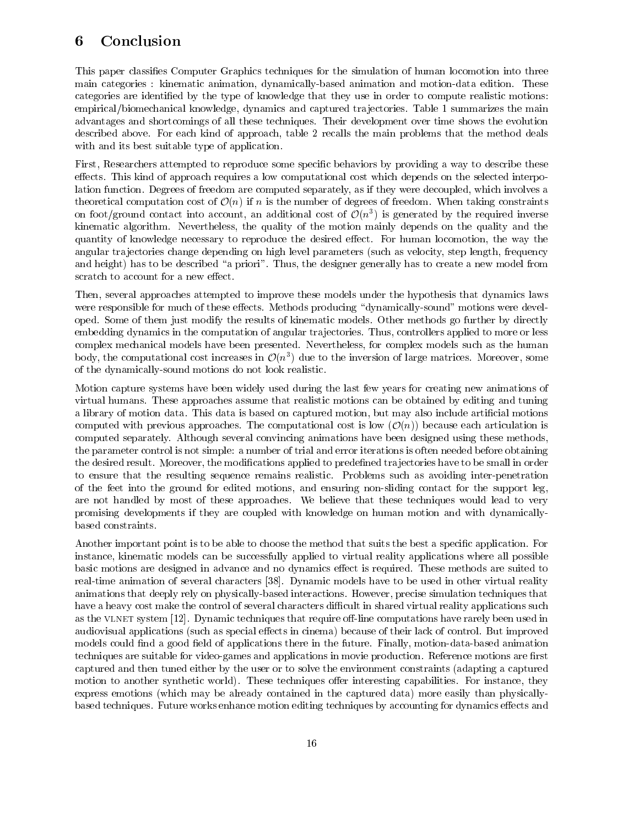## 6 Conclusion

This paper classies Computer Graphics techniques for the simulation of human locomotion into three main categories : kinematic animation, dynamically-based animation and motion-data edition. These categories are identified by the type of knowledge that they use in order to compute realistic motions: empirical/biomechanical knowledge, dynamics and captured tra jectories. Table 1 summarizes the main advantages and shortcomings of all these techniques. Their development over time shows the evolution described above. For each kind of approach, table 2 recalls the main problems that the method deals with and its best suitable type of application.

First, Researchers attempted to reproduce some specific behaviors by providing a way to describe these effects. This kind of approach requires a low computational cost which depends on the selected interpolation function. Degrees of freedom are computed separately, as if they were decoupled, which involves a theoretical computation cost of  $\mathcal{O}(n)$  if n is the number of degrees of freedom. When taking constraints on foot/ground contact into account, an additional cost of  $\mathcal{O}(n^{\ast})$  is generated by the required inverse kinematic algorithm. Nevertheless, the quality of the motion mainly depends on the quality and the quantity of knowledge necessary to reproduce the desired effect. For human locomotion, the way the angular tra jectories change depending on high level parameters (such as velocity, step length, frequency and height) has to be described "a priori". Thus, the designer generally has to create a new model from scratch to account for a new effect.

Then, several approaches attempted to improve these models under the hypothesis that dynamics laws were responsible for much of these effects. Methods producing "dynamically-sound" motions were developed. Some of them just modify the results of kinematic models. Other methods go further by directly embedding dynamics in the computation of angular tra jectories. Thus, controllers applied to more or less complex mechanical models have been presented. Nevertheless, for complex models such as the human body, the computational cost increases in  $\mathcal{O}(n^2)$  due to the inversion of large matrices. Moreover, some of the dynamically-sound motions do not look realistic.

Motion capture systems have been widely used during the last few years for creating new animations of virtual humans. These approaches assume that realistic motions can be obtained by editing and tuning a library of motion data. This data is based on captured motion, but may also include articial motions computed with previous approaches. The computational cost is low  $(\mathcal{O}(n))$  because each articulation is computed separately. Although several convincing animations have been designed using these methods, the parameter control is not simple: a number of trial and error iterations is often needed before obtaining the desired result. Moreover, the modications applied to predened tra jectories have to be small in order to ensure that the resulting sequence remains realistic. Problems such as avoiding inter-penetration of the feet into the ground for edited motions, and ensuring non-sliding contact for the support leg, are not handled by most of these approaches. We believe that these techniques would lead to very promising developments if they are coupled with knowledge on human motion and with dynamicallybased constraints.

Another important point is to be able to choose the method that suits the best a specific application. For instance, kinematic models can be successfully applied to virtual reality applications where all possible basic motions are designed in advance and no dynamics effect is required. These methods are suited to real-time animation of several characters [38]. Dynamic models have to be used in other virtual reality animations that deeply rely on physically-based interactions. However, precise simulation techniques that have a heavy cost make the control of several characters difficult in shared virtual reality applications such as the VLNET system [12]. Dynamic techniques that require off-line computations have rarely been used in audiovisual applications (such as special effects in cinema) because of their lack of control. But improved models could find a good field of applications there in the future. Finally, motion-data-based animation techniques are suitable for video-games and applications in movie production. Reference motions are first captured and then tuned either by the user or to solve the environment constraints (adapting a captured motion to another synthetic world). These techniques offer interesting capabilities. For instance, they express emotions (which may be already contained in the captured data) more easily than physicallybased techniques. Future works enhance motion editing techniques by accounting for dynamics effects and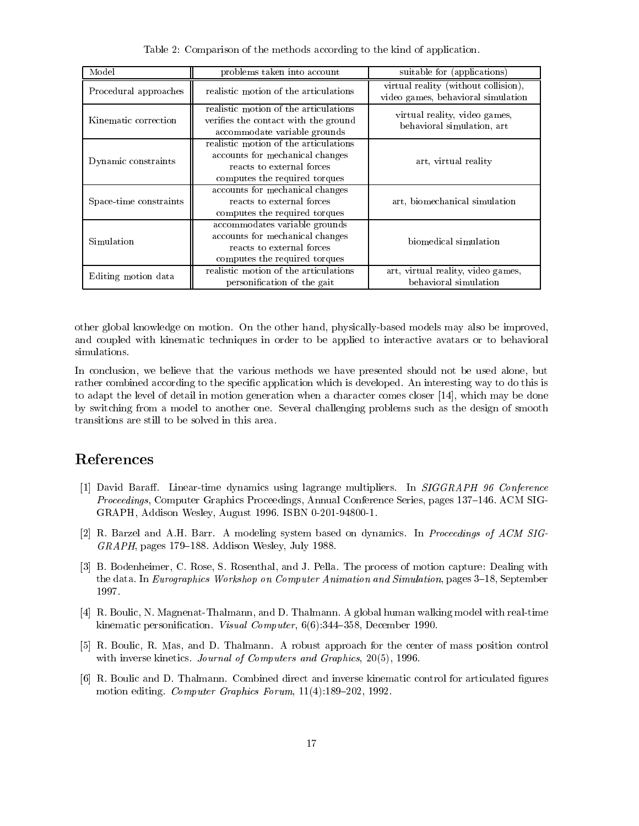| Model                  | problems taken into account                                                                                                            | suitable for (applications)                                                |  |
|------------------------|----------------------------------------------------------------------------------------------------------------------------------------|----------------------------------------------------------------------------|--|
| Procedural approaches  | realistic motion of the articulations                                                                                                  | virtual reality (without collision),<br>video games, behavioral simulation |  |
| Kinematic correction   | realistic motion of the articulations<br>verifies the contact with the ground<br>accommodate variable grounds                          | virtual reality, video games,<br>behavioral simulation, art                |  |
| Dynamic constraints    | realistic motion of the articulations<br>accounts for mechanical changes<br>reacts to external forces<br>computes the required torques | art, virtual reality                                                       |  |
| Space-time constraints | accounts for mechanical changes<br>reacts to external forces<br>computes the required torques                                          | art, biomechanical simulation                                              |  |
| Simulation             | accommodates variable grounds<br>accounts for mechanical changes<br>reacts to external forces<br>computes the required torques         | biomedical simulation                                                      |  |
| Editing motion data    | realistic motion of the articulations<br>personification of the gait                                                                   | art, virtual reality, video games,<br>behavioral simulation                |  |

Table 2: Comparison of the methods according to the kind of application.

other global knowledge on motion. On the other hand, physically-based models may also be improved, and coupled with kinematic techniques in order to be applied to interactive avatars or to behavioral simulations.

In conclusion, we believe that the various methods we have presented should not be used alone, but rather combined according to the specific application which is developed. An interesting way to do this is to adapt the level of detail in motion generation when a character comes closer [14], which may be done by switching from a model to another one. Several challenging problems such as the design of smooth transitions are still to be solved in this area.

### References

- [1] David Baraff. Linear-time dynamics using lagrange multipliers. In SIGGRAPH 96 Conference Proceedings, Computer Graphics Proceedings, Annual Conference Series, pages 137–146. ACM SIG-GRAPH, Addison Wesley, August 1996. ISBN 0-201-94800-1.
- [2] R. Barzel and A.H. Barr. A modeling system based on dynamics. In Proceedings of ACM SIG- $GRAPH$ , pages 179–188. Addison Wesley, July 1988.
- [3] B. Bodenheimer, C. Rose, S. Rosenthal, and J. Pella. The process of motion capture: Dealing with the data. In Eurographics Workshop on Computer Animation and Simulation, pages 3-18, September 1997.
- [4] R. Boulic, N. Magnenat-Thalmann, and D. Thalmann. A global human walking model with real-time kinematic personification. Visual Computer,  $6(6)$ :344-358, December 1990.
- [5] R. Boulic, R. Mas, and D. Thalmann. A robust approach for the center of mass position control with inverse kinetics. Journal of Computers and Graphics, 20(5), 1996.
- [6] R. Boulic and D. Thalmann. Combined direct and inverse kinematic control for articulated gures motion editing. Computer Graphics Forum,  $11(4):189-202$ , 1992.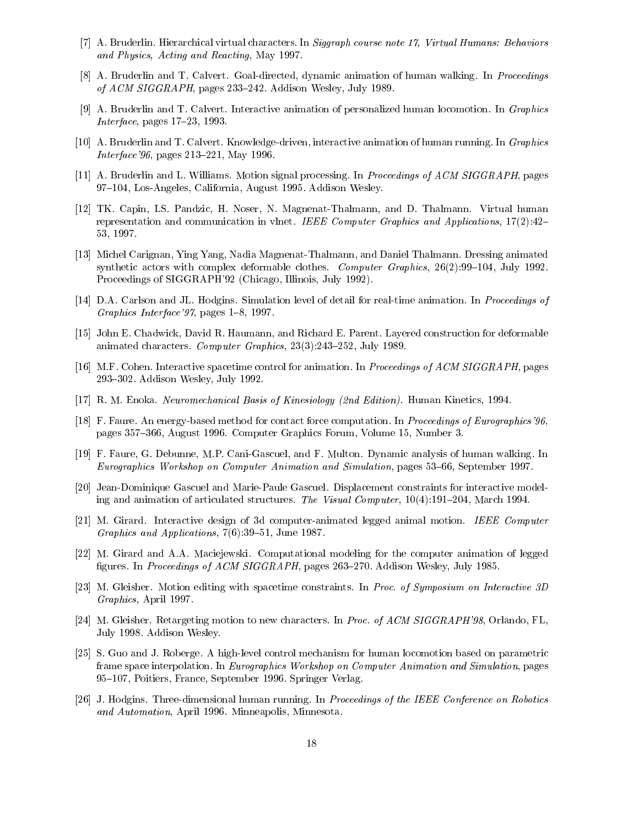- [7] A. Bruderlin. Hierarchical virtual characters. In Siggraph course note 17, Virtual Humans: Behaviors and Physics, Acting and Reacting, May 1997.
- [8] A. Bruderlin and T. Calvert. Goal-directed, dynamic animation of human walking. In Proceedings of  $ACM SIGGRAPH$ , pages 233–242. Addison Wesley, July 1989.
- [9] A. Bruderlin and T. Calvert. Interactive animation of personalized human locomotion. In Graphics Interface, pages  $17-23$ , 1993.
- [10] A. Bruderlin and T. Calvert. Knowledge-driven, interactive animation of human running. In Graphics *Interface*'96, pages  $213-221$ , May 1996.
- [11] A. Bruderlin and L. Williams. Motion signal processing. In Proceedings of ACM SIGGRAPH, pages 97-104, Los-Angeles, California, August 1995. Addison Wesley.
- [12] TK. Capin, LS. Pandzic, H. Noser, N. Magnenat-Thalmann, and D. Thalmann. Virtual human representation and communication in vlnet. IEEE Computer Graphics and Applications,  $17(2):42-$ 53, 1997.
- [13] Michel Carignan, Ying Yang, Nadia Magnenat-Thalmann, and Daniel Thalmann. Dressing animated synthetic actors with complex deformable clothes. Computer Graphics,  $26(2):99-104$ , July 1992. Proceedings of SIGGRAPH'92 (Chicago, Illinois, July 1992).
- [14] D.A. Carlson and JL. Hodgins. Simulation level of detail for real-time animation. In Proceedings of Graphics Interface  $97$ , pages 1–8, 1997.
- [15] John E. Chadwick, David R. Haumann, and Richard E. Parent. Layered construction for deformable animated characters. Computer Graphics,  $23(3):243-252$ , July 1989.
- [16] M.F. Cohen. Interactive spacetime control for animation. In Proceedings of ACM SIGGRAPH, pages 293–302. Addison Wesley, July 1992.
- [17] R. M. Enoka. Neuromechanical Basis of Kinesiology (2nd Edition). Human Kinetics, 1994.
- [18] F. Faure. An energy-based method for contact force computation. In Proceedings of Eurographics'96, pages 357-366, August 1996. Computer Graphics Forum, Volume 15, Number 3.
- [19] F. Faure, G. Debunne, M.P. Cani-Gascuel, and F. Multon. Dynamic analysis of human walking. In Eurographics Workshop on Computer Animation and Simulation, pages 53–66, September 1997.
- [20] Jean-Dominique Gascuel and Marie-Paule Gascuel. Displacement constraints for interactive modeling and animation of articulated structures. The Visual Computer,  $10(4):191-204$ , March 1994.
- [21] M. Girard. Interactive design of 3d computer-animated legged animal motion. IEEE Computer Graphics and Applications,  $7(6)$ : 39-51, June 1987.
- [22] M. Girard and A.A. Maciejewski. Computational modeling for the computer animation of legged figures. In Proceedings of ACM SIGGRAPH, pages 263-270. Addison Wesley, July 1985.
- [23] M. Gleisher. Motion editing with spacetime constraints. In Proc. of Symposium on Interactive 3D Graphics, April 1997.
- [24] M. Gleisher. Retargeting motion to new characters. In Proc. of ACM SIGGRAPH'98, Orlando, FL, July 1998. Addison Wesley.
- [25] S. Guo and J. Roberge. A high-level control mechanism for human locomotion based on parametric frame space interpolation. In Eurographics Workshop on Computer Animation and Simulation, pages 95-107, Poitiers, France, September 1996. Springer Verlag.
- [26] J. Hodgins. Three-dimensional human running. In Proceedings of the IEEE Conference on Robotics and Automation, April 1996. Minneapolis, Minnesota.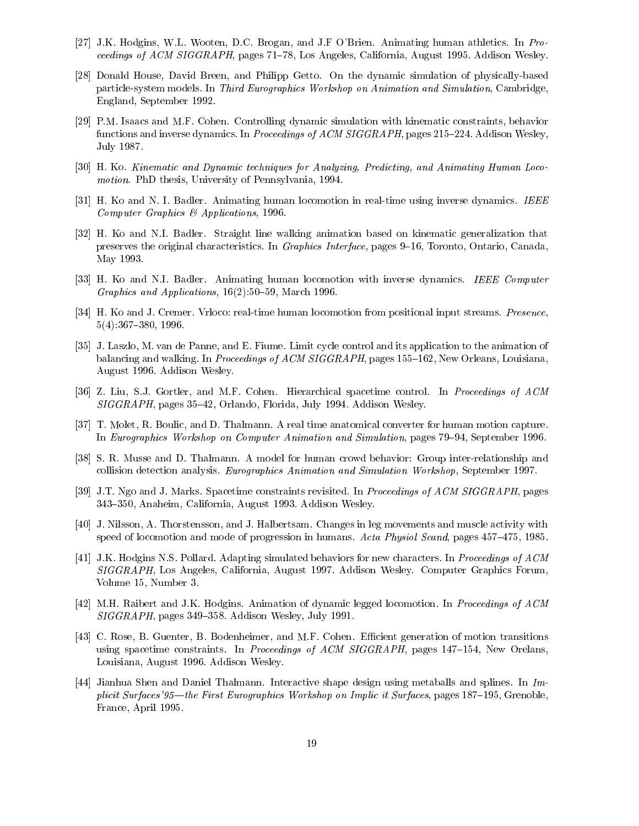- [27] J.K. Hodgins, W.L. Wooten, D.C. Brogan, and J.F O'Brien. Animating human athletics. In Pro*ceedings of ACM SIGGRAPH*, pages  $71–78$ , Los Angeles, California, August 1995. Addison Wesley.
- [28] Donald House, David Breen, and Philipp Getto. On the dynamic simulation of physically-based particle-system models. In Third Eurographics Workshop on Animation and Simulation, Cambridge, England, September 1992.
- [29] P.M. Isaacs and M.F. Cohen. Controlling dynamic simulation with kinematic constraints, behavior functions and inverse dynamics. In Proceedings of ACM SIGGRAPH, pages 215–224. Addison Wesley, July 1987.
- [30] H. Ko. Kinematic and Dynamic techniques for Analyzing, Predicting, and Animating Human Locomotion. PhD thesis, University of Pennsylvania, 1994.
- [31] H. Ko and N. I. Badler. Animating human locomotion in real-time using inverse dynamics. IEEE Computer Graphics & Applications, 1996.
- [32] H. Ko and N.I. Badler. Straight line walking animation based on kinematic generalization that preserves the original characteristics. In Graphics Interface, pages 9-16, Toronto, Ontario, Canada, May 1993.
- [33] H. Ko and N.I. Badler. Animating human locomotion with inverse dynamics. IEEE Computer Graphics and Applications,  $16(2):50{-}59$ , March 1996.
- [34] H. Ko and J. Cremer. Vrloco: real-time human locomotion from positional input streams. Presence,  $5(4):367{-}380, 1996.$
- [35] J. Laszlo, M. van de Panne, and E. Fiume. Limit cycle control and its application to the animation of balancing and walking. In Proceedings of ACM SIGGRAPH, pages 155-162, New Orleans, Louisiana, August 1996. Addison Wesley.
- [36] Z. Liu, S.J. Gortler, and M.F. Cohen. Hierarchical spacetime control. In Proceedings of ACM  $SIGGRAPH$ , pages 35–42, Orlando, Florida, July 1994. Addison Wesley.
- [37] T. Molet, R. Boulic, and D. Thalmann. A real time anatomical converter for human motion capture. In Eurographics Workshop on Computer Animation and Simulation, pages 79–94, September 1996.
- [38] S. R. Musse and D. Thalmann. A model for human crowd behavior: Group inter-relationship and collision detection analysis. Eurographics Animation and Simulation Workshop, September 1997.
- [39] J.T. Ngo and J. Marks. Spacetime constraints revisited. In *Proceedings of ACM SIGGRAPH*, pages 343-350, Anaheim, California, August 1993. Addison Wesley.
- [40] J. Nilsson, A. Thorstensson, and J. Halbertsam. Changes in leg movements and muscle activity with speed of locomotion and mode of progression in humans. Acta Physiol Scand, pages  $457{-}475$ , 1985.
- [41] J.K. Hodgins N.S. Pollard. Adapting simulated behaviors for new characters. In Proceedings of ACM SIGGRAPH, Los Angeles, California, August 1997. Addison Wesley. Computer Graphics Forum, Volume 15, Number 3.
- [42] M.H. Raibert and J.K. Hodgins. Animation of dynamic legged locomotion. In Proceedings of ACM  $SIGGRAPH$ , pages 349–358. Addison Wesley, July 1991.
- [43] C. Rose, B. Guenter, B. Bodenheimer, and M.F. Cohen. Efficient generation of motion transitions using spacetime constraints. In Proceedings of ACM SIGGRAPH, pages 147–154, New Orelans, Louisiana, August 1996. Addison Wesley.
- [44] Jianhua Shen and Daniel Thalmann. Interactive shape design using metaballs and splines. In Implicit Surfaces'95—the First Eurographics Workshop on Implic it Surfaces, pages 187–195, Grenoble, France, April 1995.